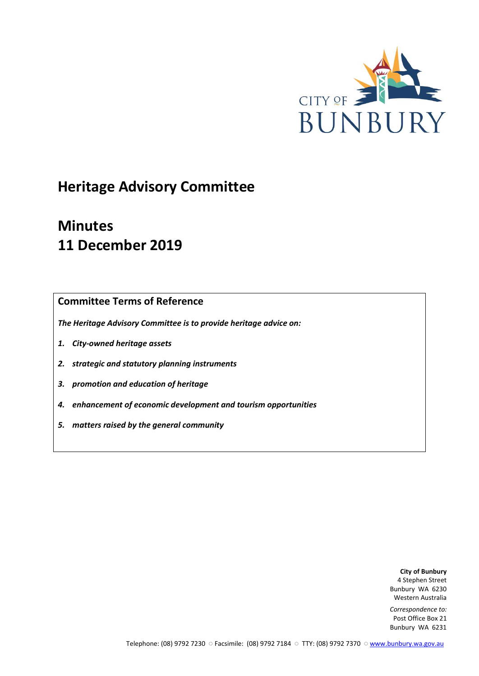

# **Heritage Advisory Committee**

# **Minutes 11 December 2019**

# **Committee Terms of Reference**

*The Heritage Advisory Committee is to provide heritage advice on:*

- *1. City-owned heritage assets*
- *2. strategic and statutory planning instruments*
- *3. promotion and education of heritage*
- *4. enhancement of economic development and tourism opportunities*
- *5. matters raised by the general community*

**City of Bunbury** 4 Stephen Street Bunbury WA 6230 Western Australia

*Correspondence to:* Post Office Box 21 Bunbury WA 6231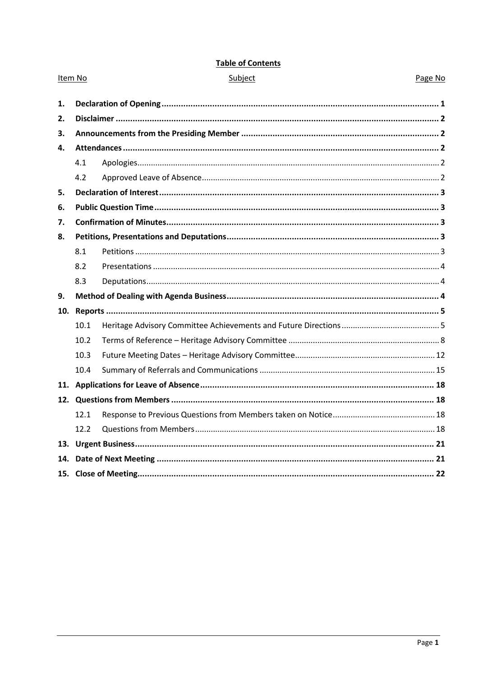|    | Item No | Subject | Page No |
|----|---------|---------|---------|
| 1. |         |         |         |
| 2. |         |         |         |
| 3. |         |         |         |
| 4. |         |         |         |
|    | 4.1     |         |         |
|    | 4.2     |         |         |
| 5. |         |         |         |
| 6. |         |         |         |
| 7. |         |         |         |
| 8. |         |         |         |
|    | 8.1     |         |         |
|    | 8.2     |         |         |
|    | 8.3     |         |         |
| 9. |         |         |         |
|    |         |         |         |
|    | 10.1    |         |         |
|    | 10.2    |         |         |
|    | 10.3    |         |         |
|    | 10.4    |         |         |
|    |         |         |         |
|    |         |         |         |
|    | 12.1    |         |         |
|    | 12.2    |         |         |
|    |         |         |         |
|    |         |         |         |
|    |         |         |         |

# **Table of Contents**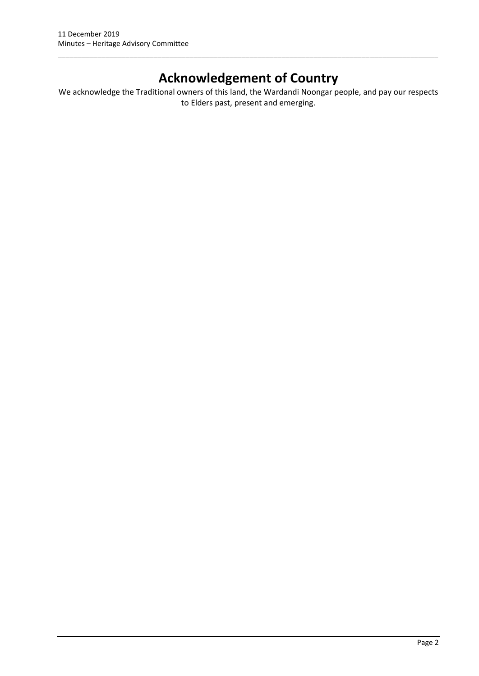# **Acknowledgement of Country**

\_\_\_\_\_\_\_\_\_\_\_\_\_\_\_\_\_\_\_\_\_\_\_\_\_\_\_\_\_\_\_\_\_\_\_\_\_\_\_\_\_\_\_\_\_\_\_\_\_\_\_\_\_\_\_\_\_\_\_\_\_\_\_\_\_\_\_\_\_\_\_\_\_\_\_\_\_\_\_\_\_\_\_\_\_\_\_\_\_\_\_\_\_\_\_

We acknowledge the Traditional owners of this land, the Wardandi Noongar people, and pay our respects to Elders past, present and emerging.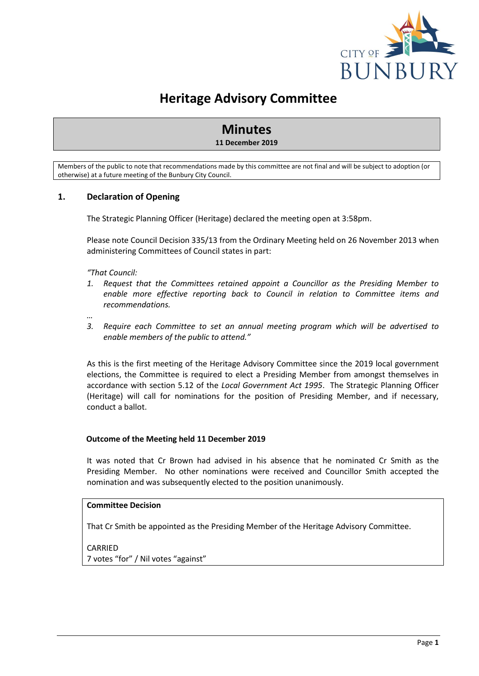

# **Heritage Advisory Committee**

# **Minutes 11 December 2019**

Members of the public to note that recommendations made by this committee are not final and will be subject to adoption (or otherwise) at a future meeting of the Bunbury City Council.

# <span id="page-3-0"></span>**1. Declaration of Opening**

The Strategic Planning Officer (Heritage) declared the meeting open at 3:58pm.

Please note Council Decision 335/13 from the Ordinary Meeting held on 26 November 2013 when administering Committees of Council states in part:

*"That Council:* 

- *1. Request that the Committees retained appoint a Councillor as the Presiding Member to enable more effective reporting back to Council in relation to Committee items and recommendations.*
- *…*
- *3. Require each Committee to set an annual meeting program which will be advertised to enable members of the public to attend."*

As this is the first meeting of the Heritage Advisory Committee since the 2019 local government elections, the Committee is required to elect a Presiding Member from amongst themselves in accordance with section 5.12 of the *Local Government Act 1995*. The Strategic Planning Officer (Heritage) will call for nominations for the position of Presiding Member, and if necessary, conduct a ballot.

#### **Outcome of the Meeting held 11 December 2019**

It was noted that Cr Brown had advised in his absence that he nominated Cr Smith as the Presiding Member. No other nominations were received and Councillor Smith accepted the nomination and was subsequently elected to the position unanimously.

# **Committee Decision**

That Cr Smith be appointed as the Presiding Member of the Heritage Advisory Committee.

CARRIED 7 votes "for" / Nil votes "against"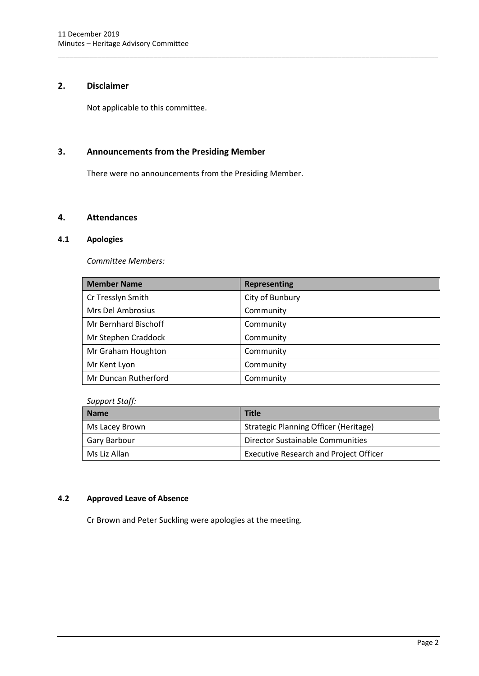# <span id="page-4-0"></span>**2. Disclaimer**

Not applicable to this committee.

# <span id="page-4-1"></span>**3. Announcements from the Presiding Member**

There were no announcements from the Presiding Member.

# <span id="page-4-2"></span>**4. Attendances**

# <span id="page-4-3"></span>**4.1 Apologies**

*Committee Members:*

| <b>Member Name</b>   | <b>Representing</b> |
|----------------------|---------------------|
| Cr Tresslyn Smith    | City of Bunbury     |
| Mrs Del Ambrosius    | Community           |
| Mr Bernhard Bischoff | Community           |
| Mr Stephen Craddock  | Community           |
| Mr Graham Houghton   | Community           |
| Mr Kent Lyon         | Community           |
| Mr Duncan Rutherford | Community           |

\_\_\_\_\_\_\_\_\_\_\_\_\_\_\_\_\_\_\_\_\_\_\_\_\_\_\_\_\_\_\_\_\_\_\_\_\_\_\_\_\_\_\_\_\_\_\_\_\_\_\_\_\_\_\_\_\_\_\_\_\_\_\_\_\_\_\_\_\_\_\_\_\_\_\_\_\_\_\_\_\_\_\_\_\_\_\_\_\_\_\_\_\_\_\_

# *Support Staff:*

| <b>Name</b>    | <b>Title</b>                                  |
|----------------|-----------------------------------------------|
| Ms Lacey Brown | <b>Strategic Planning Officer (Heritage)</b>  |
| Gary Barbour   | Director Sustainable Communities              |
| Ms Liz Allan   | <b>Executive Research and Project Officer</b> |

# <span id="page-4-4"></span>**4.2 Approved Leave of Absence**

Cr Brown and Peter Suckling were apologies at the meeting.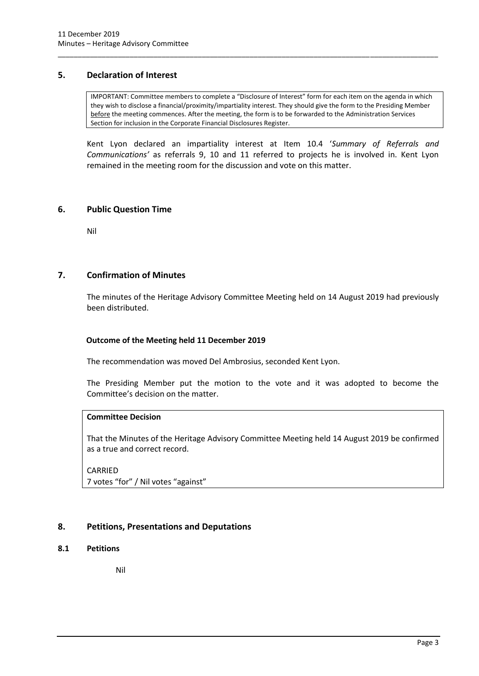# <span id="page-5-0"></span>**5. Declaration of Interest**

IMPORTANT: Committee members to complete a "Disclosure of Interest" form for each item on the agenda in which they wish to disclose a financial/proximity/impartiality interest. They should give the form to the Presiding Member before the meeting commences. After the meeting, the form is to be forwarded to the Administration Services Section for inclusion in the Corporate Financial Disclosures Register.

\_\_\_\_\_\_\_\_\_\_\_\_\_\_\_\_\_\_\_\_\_\_\_\_\_\_\_\_\_\_\_\_\_\_\_\_\_\_\_\_\_\_\_\_\_\_\_\_\_\_\_\_\_\_\_\_\_\_\_\_\_\_\_\_\_\_\_\_\_\_\_\_\_\_\_\_\_\_\_\_\_\_\_\_\_\_\_\_\_\_\_\_\_\_\_

Kent Lyon declared an impartiality interest at Item 10.4 '*Summary of Referrals and Communications'* as referrals 9, 10 and 11 referred to projects he is involved in. Kent Lyon remained in the meeting room for the discussion and vote on this matter.

# <span id="page-5-1"></span>**6. Public Question Time**

Nil

# <span id="page-5-2"></span>**7. Confirmation of Minutes**

The minutes of the Heritage Advisory Committee Meeting held on 14 August 2019 had previously been distributed.

#### **Outcome of the Meeting held 11 December 2019**

The recommendation was moved Del Ambrosius, seconded Kent Lyon.

The Presiding Member put the motion to the vote and it was adopted to become the Committee's decision on the matter.

## **Committee Decision**

That the Minutes of the Heritage Advisory Committee Meeting held 14 August 2019 be confirmed as a true and correct record.

CARRIED 7 votes "for" / Nil votes "against"

# <span id="page-5-3"></span>**8. Petitions, Presentations and Deputations**

<span id="page-5-4"></span>**8.1 Petitions**

Nil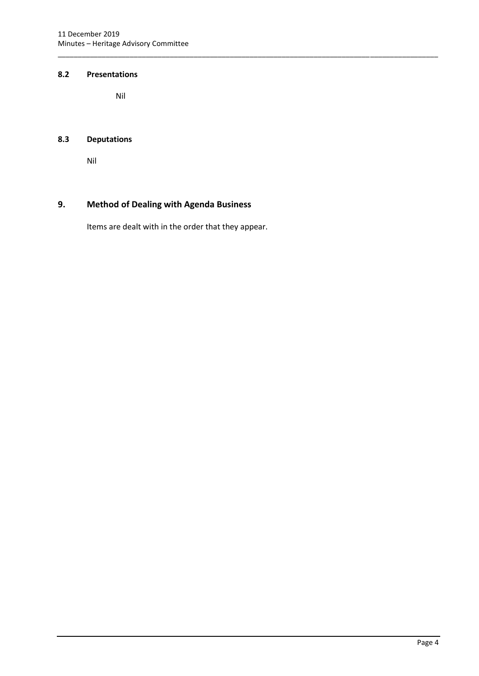# <span id="page-6-0"></span>**8.2 Presentations**

Nil

# <span id="page-6-1"></span>**8.3 Deputations**

Nil

# <span id="page-6-2"></span>**9. Method of Dealing with Agenda Business**

Items are dealt with in the order that they appear.

\_\_\_\_\_\_\_\_\_\_\_\_\_\_\_\_\_\_\_\_\_\_\_\_\_\_\_\_\_\_\_\_\_\_\_\_\_\_\_\_\_\_\_\_\_\_\_\_\_\_\_\_\_\_\_\_\_\_\_\_\_\_\_\_\_\_\_\_\_\_\_\_\_\_\_\_\_\_\_\_\_\_\_\_\_\_\_\_\_\_\_\_\_\_\_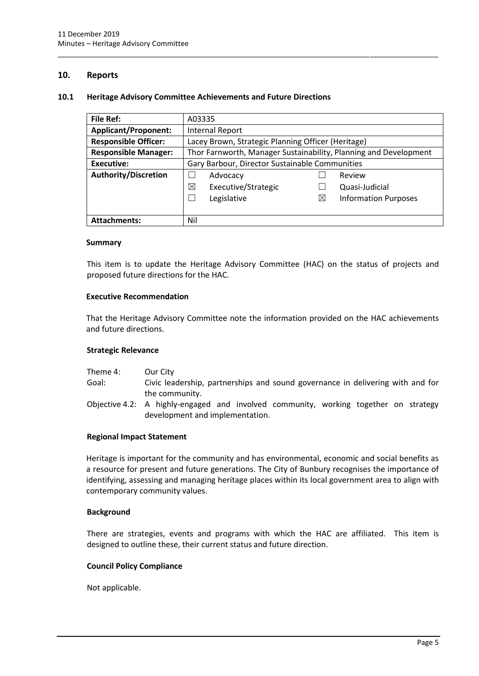# <span id="page-7-0"></span>**10. Reports**

#### <span id="page-7-1"></span>**10.1 Heritage Advisory Committee Achievements and Future Directions**

| <b>File Ref:</b>            | A03335                                                           |   |                             |
|-----------------------------|------------------------------------------------------------------|---|-----------------------------|
| <b>Applicant/Proponent:</b> | <b>Internal Report</b>                                           |   |                             |
| <b>Responsible Officer:</b> | Lacey Brown, Strategic Planning Officer (Heritage)               |   |                             |
| <b>Responsible Manager:</b> | Thor Farnworth, Manager Sustainability, Planning and Development |   |                             |
| <b>Executive:</b>           | Gary Barbour, Director Sustainable Communities                   |   |                             |
| <b>Authority/Discretion</b> | Advocacy                                                         |   | Review                      |
|                             | $\boxtimes$<br>Executive/Strategic                               |   | Quasi-Judicial              |
|                             | Legislative                                                      | ⊠ | <b>Information Purposes</b> |
|                             |                                                                  |   |                             |
| <b>Attachments:</b>         | Nil                                                              |   |                             |

\_\_\_\_\_\_\_\_\_\_\_\_\_\_\_\_\_\_\_\_\_\_\_\_\_\_\_\_\_\_\_\_\_\_\_\_\_\_\_\_\_\_\_\_\_\_\_\_\_\_\_\_\_\_\_\_\_\_\_\_\_\_\_\_\_\_\_\_\_\_\_\_\_\_\_\_\_\_\_\_\_\_\_\_\_\_\_\_\_\_\_\_\_\_\_

#### **Summary**

This item is to update the Heritage Advisory Committee (HAC) on the status of projects and proposed future directions for the HAC.

#### **Executive Recommendation**

That the Heritage Advisory Committee note the information provided on the HAC achievements and future directions.

#### **Strategic Relevance**

| Theme 4: | Our City                                                                             |
|----------|--------------------------------------------------------------------------------------|
| Goal:    | Civic leadership, partnerships and sound governance in delivering with and for       |
|          | the community.                                                                       |
|          | Objective 4.2: A highly-engaged and involved community, working together on strategy |
|          | development and implementation.                                                      |

#### **Regional Impact Statement**

Heritage is important for the community and has environmental, economic and social benefits as a resource for present and future generations. The City of Bunbury recognises the importance of identifying, assessing and managing heritage places within its local government area to align with contemporary community values.

#### **Background**

There are strategies, events and programs with which the HAC are affiliated. This item is designed to outline these, their current status and future direction.

## **Council Policy Compliance**

Not applicable.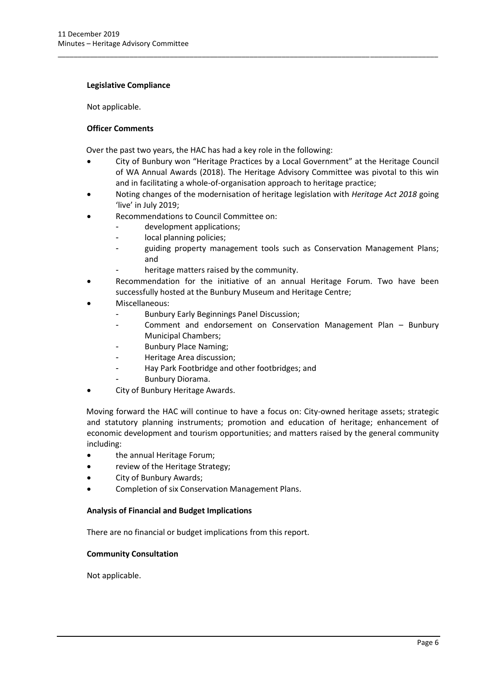## **Legislative Compliance**

Not applicable.

# **Officer Comments**

Over the past two years, the HAC has had a key role in the following:

 City of Bunbury won "Heritage Practices by a Local Government" at the Heritage Council of WA Annual Awards (2018). The Heritage Advisory Committee was pivotal to this win and in facilitating a whole-of-organisation approach to heritage practice;

\_\_\_\_\_\_\_\_\_\_\_\_\_\_\_\_\_\_\_\_\_\_\_\_\_\_\_\_\_\_\_\_\_\_\_\_\_\_\_\_\_\_\_\_\_\_\_\_\_\_\_\_\_\_\_\_\_\_\_\_\_\_\_\_\_\_\_\_\_\_\_\_\_\_\_\_\_\_\_\_\_\_\_\_\_\_\_\_\_\_\_\_\_\_\_

- Noting changes of the modernisation of heritage legislation with *Heritage Act 2018* going 'live' in July 2019;
- Recommendations to Council Committee on:
	- development applications;
	- local planning policies;
	- guiding property management tools such as Conservation Management Plans; and
		- heritage matters raised by the community.
- Recommendation for the initiative of an annual Heritage Forum. Two have been successfully hosted at the Bunbury Museum and Heritage Centre;
- Miscellaneous:
	- Bunbury Early Beginnings Panel Discussion;
	- Comment and endorsement on Conservation Management Plan Bunbury Municipal Chambers;
	- Bunbury Place Naming;
	- Heritage Area discussion;
	- Hay Park Footbridge and other footbridges; and
	- Bunbury Diorama.
- City of Bunbury Heritage Awards.

Moving forward the HAC will continue to have a focus on: City-owned heritage assets; strategic and statutory planning instruments; promotion and education of heritage; enhancement of economic development and tourism opportunities; and matters raised by the general community including:

- the annual Heritage Forum;
- review of the Heritage Strategy;
- City of Bunbury Awards;
- Completion of six Conservation Management Plans.

#### **Analysis of Financial and Budget Implications**

There are no financial or budget implications from this report.

#### **Community Consultation**

Not applicable.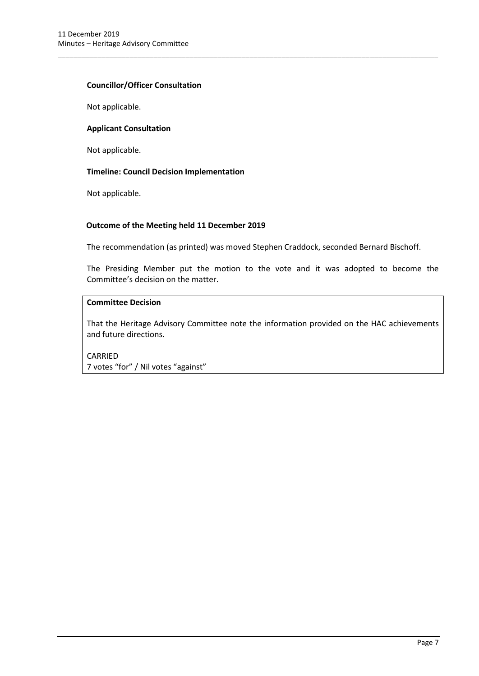#### **Councillor/Officer Consultation**

Not applicable.

# **Applicant Consultation**

Not applicable.

# **Timeline: Council Decision Implementation**

Not applicable.

# **Outcome of the Meeting held 11 December 2019**

The recommendation (as printed) was moved Stephen Craddock, seconded Bernard Bischoff.

\_\_\_\_\_\_\_\_\_\_\_\_\_\_\_\_\_\_\_\_\_\_\_\_\_\_\_\_\_\_\_\_\_\_\_\_\_\_\_\_\_\_\_\_\_\_\_\_\_\_\_\_\_\_\_\_\_\_\_\_\_\_\_\_\_\_\_\_\_\_\_\_\_\_\_\_\_\_\_\_\_\_\_\_\_\_\_\_\_\_\_\_\_\_\_

The Presiding Member put the motion to the vote and it was adopted to become the Committee's decision on the matter.

# **Committee Decision**

That the Heritage Advisory Committee note the information provided on the HAC achievements and future directions.

CARRIED 7 votes "for" / Nil votes "against"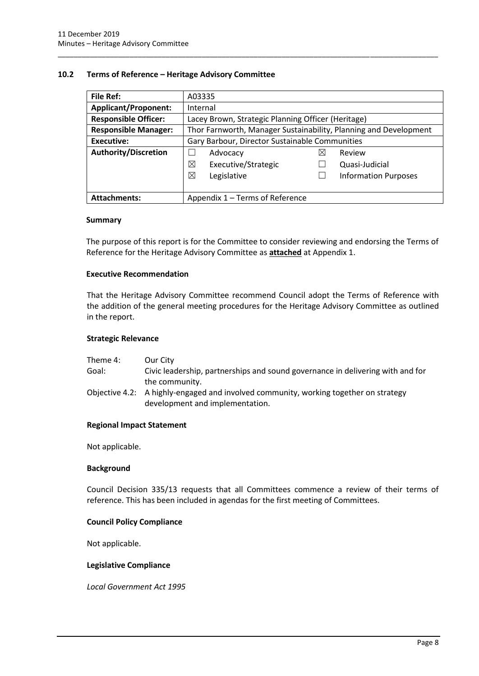| <b>File Ref:</b>                                             | A03335                                                           |   |                             |
|--------------------------------------------------------------|------------------------------------------------------------------|---|-----------------------------|
| <b>Applicant/Proponent:</b>                                  | Internal                                                         |   |                             |
| <b>Responsible Officer:</b>                                  | Lacey Brown, Strategic Planning Officer (Heritage)               |   |                             |
| <b>Responsible Manager:</b>                                  | Thor Farnworth, Manager Sustainability, Planning and Development |   |                             |
| Gary Barbour, Director Sustainable Communities<br>Executive: |                                                                  |   |                             |
| <b>Authority/Discretion</b>                                  | Advocacy                                                         | ⋈ | Review                      |
|                                                              | ⊠<br>Executive/Strategic                                         |   | Quasi-Judicial              |
|                                                              | ⊠<br>Legislative                                                 |   | <b>Information Purposes</b> |
|                                                              |                                                                  |   |                             |
| <b>Attachments:</b>                                          | Appendix 1 - Terms of Reference                                  |   |                             |

\_\_\_\_\_\_\_\_\_\_\_\_\_\_\_\_\_\_\_\_\_\_\_\_\_\_\_\_\_\_\_\_\_\_\_\_\_\_\_\_\_\_\_\_\_\_\_\_\_\_\_\_\_\_\_\_\_\_\_\_\_\_\_\_\_\_\_\_\_\_\_\_\_\_\_\_\_\_\_\_\_\_\_\_\_\_\_\_\_\_\_\_\_\_\_

# <span id="page-10-0"></span>**10.2 Terms of Reference – Heritage Advisory Committee**

#### **Summary**

The purpose of this report is for the Committee to consider reviewing and endorsing the Terms of Reference for the Heritage Advisory Committee as **attached** at Appendix 1.

#### **Executive Recommendation**

That the Heritage Advisory Committee recommend Council adopt the Terms of Reference with the addition of the general meeting procedures for the Heritage Advisory Committee as outlined in the report.

#### **Strategic Relevance**

| Theme 4: | Our City                                                                                                                |
|----------|-------------------------------------------------------------------------------------------------------------------------|
| Goal:    | Civic leadership, partnerships and sound governance in delivering with and for                                          |
|          | the community.                                                                                                          |
|          | Objective 4.2: A highly-engaged and involved community, working together on strategy<br>development and implementation. |

#### **Regional Impact Statement**

Not applicable.

#### **Background**

Council Decision 335/13 requests that all Committees commence a review of their terms of reference. This has been included in agendas for the first meeting of Committees.

#### **Council Policy Compliance**

Not applicable.

#### **Legislative Compliance**

*Local Government Act 1995*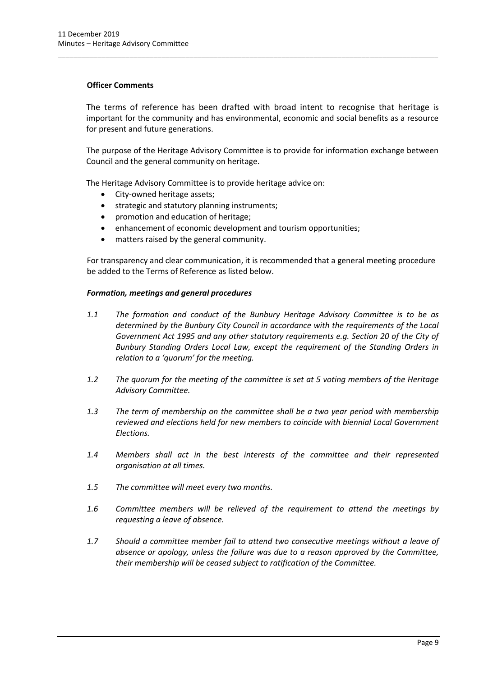## **Officer Comments**

The terms of reference has been drafted with broad intent to recognise that heritage is important for the community and has environmental, economic and social benefits as a resource for present and future generations.

\_\_\_\_\_\_\_\_\_\_\_\_\_\_\_\_\_\_\_\_\_\_\_\_\_\_\_\_\_\_\_\_\_\_\_\_\_\_\_\_\_\_\_\_\_\_\_\_\_\_\_\_\_\_\_\_\_\_\_\_\_\_\_\_\_\_\_\_\_\_\_\_\_\_\_\_\_\_\_\_\_\_\_\_\_\_\_\_\_\_\_\_\_\_\_

The purpose of the Heritage Advisory Committee is to provide for information exchange between Council and the general community on heritage.

The Heritage Advisory Committee is to provide heritage advice on:

- City-owned heritage assets;
- strategic and statutory planning instruments;
- promotion and education of heritage;
- enhancement of economic development and tourism opportunities;
- matters raised by the general community.

For transparency and clear communication, it is recommended that a general meeting procedure be added to the Terms of Reference as listed below.

# *Formation, meetings and general procedures*

- *1.1 The formation and conduct of the Bunbury Heritage Advisory Committee is to be as determined by the Bunbury City Council in accordance with the requirements of the Local Government Act 1995 and any other statutory requirements e.g. Section 20 of the City of Bunbury Standing Orders Local Law, except the requirement of the Standing Orders in relation to a 'quorum' for the meeting.*
- *1.2 The quorum for the meeting of the committee is set at 5 voting members of the Heritage Advisory Committee.*
- *1.3 The term of membership on the committee shall be a two year period with membership reviewed and elections held for new members to coincide with biennial Local Government Elections.*
- *1.4 Members shall act in the best interests of the committee and their represented organisation at all times.*
- *1.5 The committee will meet every two months.*
- *1.6 Committee members will be relieved of the requirement to attend the meetings by requesting a leave of absence.*
- *1.7 Should a committee member fail to attend two consecutive meetings without a leave of absence or apology, unless the failure was due to a reason approved by the Committee, their membership will be ceased subject to ratification of the Committee.*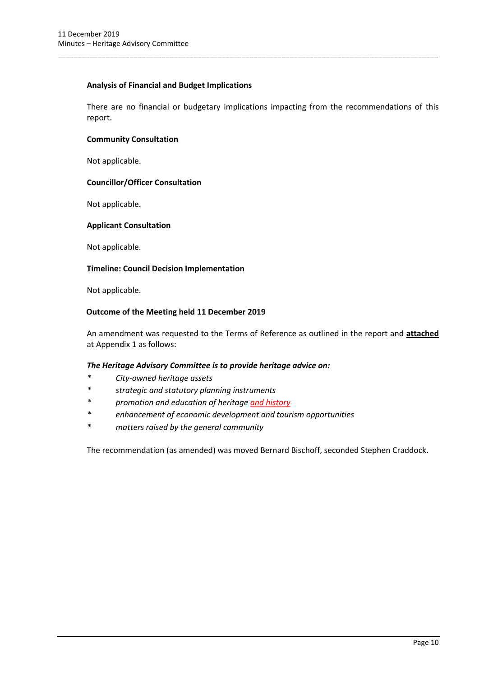# **Analysis of Financial and Budget Implications**

There are no financial or budgetary implications impacting from the recommendations of this report.

\_\_\_\_\_\_\_\_\_\_\_\_\_\_\_\_\_\_\_\_\_\_\_\_\_\_\_\_\_\_\_\_\_\_\_\_\_\_\_\_\_\_\_\_\_\_\_\_\_\_\_\_\_\_\_\_\_\_\_\_\_\_\_\_\_\_\_\_\_\_\_\_\_\_\_\_\_\_\_\_\_\_\_\_\_\_\_\_\_\_\_\_\_\_\_

## **Community Consultation**

Not applicable.

# **Councillor/Officer Consultation**

Not applicable.

#### **Applicant Consultation**

Not applicable.

#### **Timeline: Council Decision Implementation**

Not applicable.

# **Outcome of the Meeting held 11 December 2019**

An amendment was requested to the Terms of Reference as outlined in the report and **attached** at Appendix 1 as follows:

## *The Heritage Advisory Committee is to provide heritage advice on:*

- *\* City‐owned heritage assets*
- *\* strategic and statutory planning instruments*
- *\* promotion and education of heritage and history*
- *\* enhancement of economic development and tourism opportunities*
- *\* matters raised by the general community*

The recommendation (as amended) was moved Bernard Bischoff, seconded Stephen Craddock.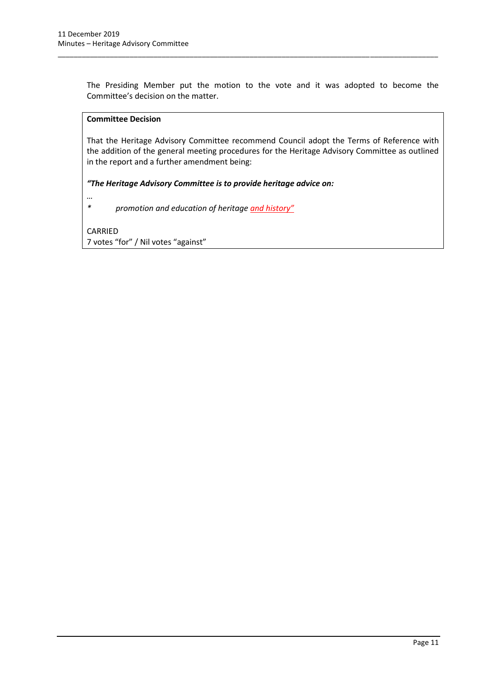The Presiding Member put the motion to the vote and it was adopted to become the Committee's decision on the matter.

\_\_\_\_\_\_\_\_\_\_\_\_\_\_\_\_\_\_\_\_\_\_\_\_\_\_\_\_\_\_\_\_\_\_\_\_\_\_\_\_\_\_\_\_\_\_\_\_\_\_\_\_\_\_\_\_\_\_\_\_\_\_\_\_\_\_\_\_\_\_\_\_\_\_\_\_\_\_\_\_\_\_\_\_\_\_\_\_\_\_\_\_\_\_\_

# **Committee Decision**

That the Heritage Advisory Committee recommend Council adopt the Terms of Reference with the addition of the general meeting procedures for the Heritage Advisory Committee as outlined in the report and a further amendment being:

# *"The Heritage Advisory Committee is to provide heritage advice on:*

*…*

*\* promotion and education of heritage and history"*

CARRIED 7 votes "for" / Nil votes "against"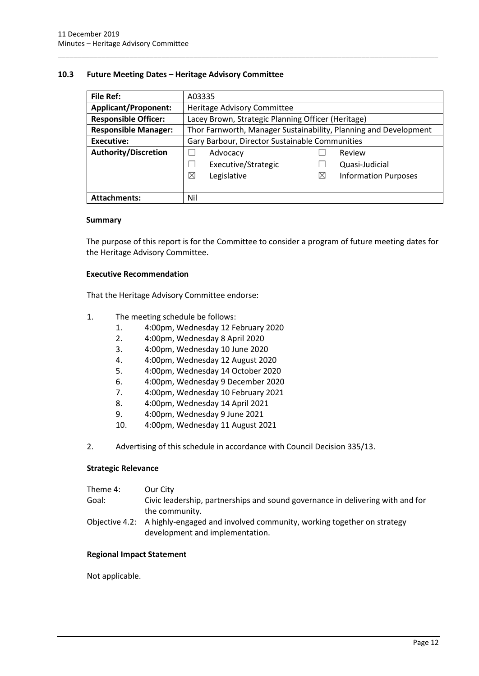#### <span id="page-14-0"></span>**10.3 Future Meeting Dates – Heritage Advisory Committee**

| <b>File Ref:</b>            | A03335                                                           |   |                             |
|-----------------------------|------------------------------------------------------------------|---|-----------------------------|
| <b>Applicant/Proponent:</b> | Heritage Advisory Committee                                      |   |                             |
| <b>Responsible Officer:</b> | Lacey Brown, Strategic Planning Officer (Heritage)               |   |                             |
| <b>Responsible Manager:</b> | Thor Farnworth, Manager Sustainability, Planning and Development |   |                             |
| Executive:                  | Gary Barbour, Director Sustainable Communities                   |   |                             |
| <b>Authority/Discretion</b> | Advocacy                                                         |   | Review                      |
|                             | Executive/Strategic<br>×                                         |   | Quasi-Judicial              |
|                             | ⊠<br>Legislative                                                 | ⋈ | <b>Information Purposes</b> |
|                             |                                                                  |   |                             |
| <b>Attachments:</b>         | Nil                                                              |   |                             |

\_\_\_\_\_\_\_\_\_\_\_\_\_\_\_\_\_\_\_\_\_\_\_\_\_\_\_\_\_\_\_\_\_\_\_\_\_\_\_\_\_\_\_\_\_\_\_\_\_\_\_\_\_\_\_\_\_\_\_\_\_\_\_\_\_\_\_\_\_\_\_\_\_\_\_\_\_\_\_\_\_\_\_\_\_\_\_\_\_\_\_\_\_\_\_

#### **Summary**

The purpose of this report is for the Committee to consider a program of future meeting dates for the Heritage Advisory Committee.

#### **Executive Recommendation**

That the Heritage Advisory Committee endorse:

- 1. The meeting schedule be follows:
	- 1. 4:00pm, Wednesday 12 February 2020
	- 2. 4:00pm, Wednesday 8 April 2020
	- 3. 4:00pm, Wednesday 10 June 2020
	- 4. 4:00pm, Wednesday 12 August 2020
	- 5. 4:00pm, Wednesday 14 October 2020
	- 6. 4:00pm, Wednesday 9 December 2020
	- 7. 4:00pm, Wednesday 10 February 2021
	- 8. 4:00pm, Wednesday 14 April 2021
	- 9. 4:00pm, Wednesday 9 June 2021
	- 10. 4:00pm, Wednesday 11 August 2021
- 2. Advertising of this schedule in accordance with Council Decision 335/13.

#### **Strategic Relevance**

| Theme 4: | Our City                                                                             |
|----------|--------------------------------------------------------------------------------------|
| Goal:    | Civic leadership, partnerships and sound governance in delivering with and for       |
|          | the community.                                                                       |
|          | Objective 4.2: A highly-engaged and involved community, working together on strategy |
|          | development and implementation.                                                      |

#### **Regional Impact Statement**

Not applicable.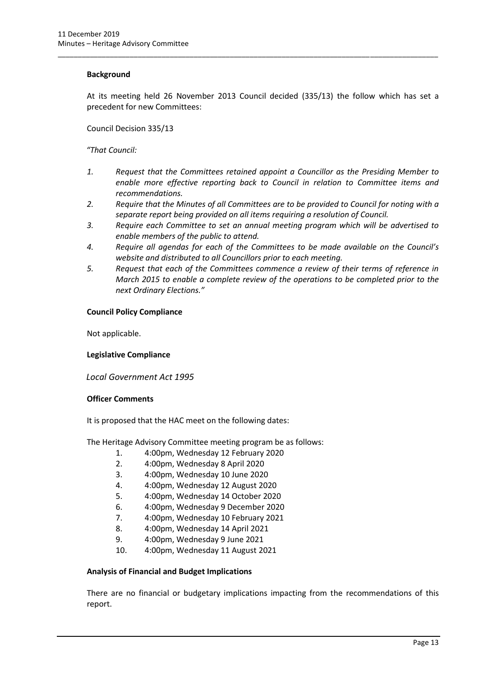#### **Background**

At its meeting held 26 November 2013 Council decided (335/13) the follow which has set a precedent for new Committees:

\_\_\_\_\_\_\_\_\_\_\_\_\_\_\_\_\_\_\_\_\_\_\_\_\_\_\_\_\_\_\_\_\_\_\_\_\_\_\_\_\_\_\_\_\_\_\_\_\_\_\_\_\_\_\_\_\_\_\_\_\_\_\_\_\_\_\_\_\_\_\_\_\_\_\_\_\_\_\_\_\_\_\_\_\_\_\_\_\_\_\_\_\_\_\_

Council Decision 335/13

*"That Council:*

- *1. Request that the Committees retained appoint a Councillor as the Presiding Member to enable more effective reporting back to Council in relation to Committee items and recommendations.*
- *2. Require that the Minutes of all Committees are to be provided to Council for noting with a separate report being provided on all items requiring a resolution of Council.*
- *3. Require each Committee to set an annual meeting program which will be advertised to enable members of the public to attend.*
- *4. Require all agendas for each of the Committees to be made available on the Council's website and distributed to all Councillors prior to each meeting.*
- *5. Request that each of the Committees commence a review of their terms of reference in March 2015 to enable a complete review of the operations to be completed prior to the next Ordinary Elections."*

#### **Council Policy Compliance**

Not applicable.

#### **Legislative Compliance**

*Local Government Act 1995* 

#### **Officer Comments**

It is proposed that the HAC meet on the following dates:

The Heritage Advisory Committee meeting program be as follows:

- 1. 4:00pm, Wednesday 12 February 2020
- 2. 4:00pm, Wednesday 8 April 2020
- 3. 4:00pm, Wednesday 10 June 2020
- 4. 4:00pm, Wednesday 12 August 2020
- 5. 4:00pm, Wednesday 14 October 2020
- 6. 4:00pm, Wednesday 9 December 2020
- 7. 4:00pm, Wednesday 10 February 2021
- 8. 4:00pm, Wednesday 14 April 2021
- 9. 4:00pm, Wednesday 9 June 2021
- 10. 4:00pm, Wednesday 11 August 2021

#### **Analysis of Financial and Budget Implications**

There are no financial or budgetary implications impacting from the recommendations of this report.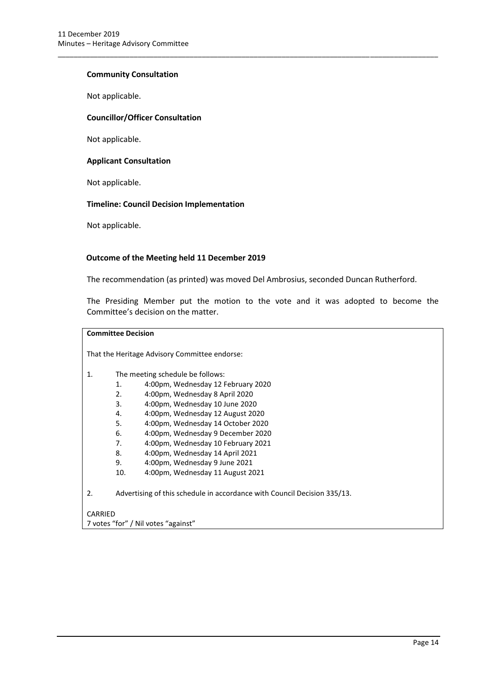#### **Community Consultation**

Not applicable.

#### **Councillor/Officer Consultation**

Not applicable.

#### **Applicant Consultation**

Not applicable.

#### **Timeline: Council Decision Implementation**

Not applicable.

#### **Outcome of the Meeting held 11 December 2019**

The recommendation (as printed) was moved Del Ambrosius, seconded Duncan Rutherford.

\_\_\_\_\_\_\_\_\_\_\_\_\_\_\_\_\_\_\_\_\_\_\_\_\_\_\_\_\_\_\_\_\_\_\_\_\_\_\_\_\_\_\_\_\_\_\_\_\_\_\_\_\_\_\_\_\_\_\_\_\_\_\_\_\_\_\_\_\_\_\_\_\_\_\_\_\_\_\_\_\_\_\_\_\_\_\_\_\_\_\_\_\_\_\_

The Presiding Member put the motion to the vote and it was adopted to become the Committee's decision on the matter.

#### **Committee Decision**

That the Heritage Advisory Committee endorse:

- 1. The meeting schedule be follows:
	- 1. 4:00pm, Wednesday 12 February 2020
	- 2. 4:00pm, Wednesday 8 April 2020
	- 3. 4:00pm, Wednesday 10 June 2020
	- 4. 4:00pm, Wednesday 12 August 2020
	- 5. 4:00pm, Wednesday 14 October 2020
	- 6. 4:00pm, Wednesday 9 December 2020
	- 7. 4:00pm, Wednesday 10 February 2021
	- 8. 4:00pm, Wednesday 14 April 2021
	- 9. 4:00pm, Wednesday 9 June 2021
	- 10. 4:00pm, Wednesday 11 August 2021

2. Advertising of this schedule in accordance with Council Decision 335/13.

CARRIED 7 votes "for" / Nil votes "against"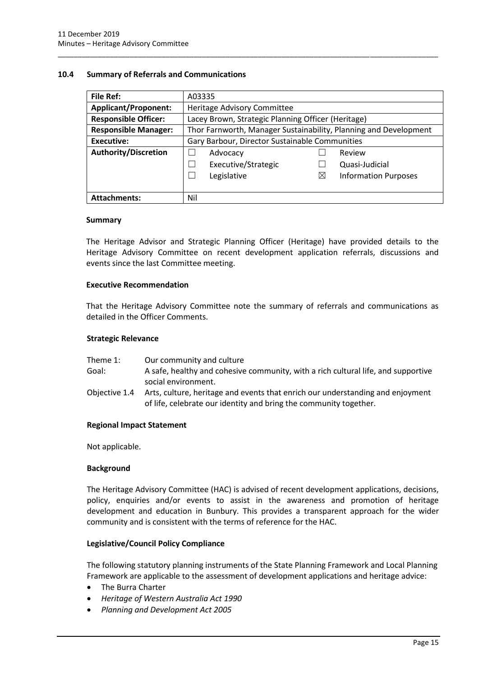#### <span id="page-17-0"></span>**10.4 Summary of Referrals and Communications**

| File Ref:                   | A03335                                                           |  |  |
|-----------------------------|------------------------------------------------------------------|--|--|
| <b>Applicant/Proponent:</b> | Heritage Advisory Committee                                      |  |  |
| <b>Responsible Officer:</b> | Lacey Brown, Strategic Planning Officer (Heritage)               |  |  |
| <b>Responsible Manager:</b> | Thor Farnworth, Manager Sustainability, Planning and Development |  |  |
| <b>Executive:</b>           | Gary Barbour, Director Sustainable Communities                   |  |  |
| <b>Authority/Discretion</b> | Review<br>Advocacy                                               |  |  |
|                             | Executive/Strategic<br>Quasi-Judicial                            |  |  |
|                             | Legislative<br>⊠<br><b>Information Purposes</b>                  |  |  |
|                             |                                                                  |  |  |
| <b>Attachments:</b>         | Nil                                                              |  |  |

\_\_\_\_\_\_\_\_\_\_\_\_\_\_\_\_\_\_\_\_\_\_\_\_\_\_\_\_\_\_\_\_\_\_\_\_\_\_\_\_\_\_\_\_\_\_\_\_\_\_\_\_\_\_\_\_\_\_\_\_\_\_\_\_\_\_\_\_\_\_\_\_\_\_\_\_\_\_\_\_\_\_\_\_\_\_\_\_\_\_\_\_\_\_\_

#### **Summary**

The Heritage Advisor and Strategic Planning Officer (Heritage) have provided details to the Heritage Advisory Committee on recent development application referrals, discussions and events since the last Committee meeting.

#### **Executive Recommendation**

That the Heritage Advisory Committee note the summary of referrals and communications as detailed in the Officer Comments.

#### **Strategic Relevance**

| Theme 1:      | Our community and culture                                                                                                                           |
|---------------|-----------------------------------------------------------------------------------------------------------------------------------------------------|
| Goal:         | A safe, healthy and cohesive community, with a rich cultural life, and supportive                                                                   |
|               | social environment.                                                                                                                                 |
| Objective 1.4 | Arts, culture, heritage and events that enrich our understanding and enjoyment<br>of life, celebrate our identity and bring the community together. |

#### **Regional Impact Statement**

Not applicable.

#### **Background**

The Heritage Advisory Committee (HAC) is advised of recent development applications, decisions, policy, enquiries and/or events to assist in the awareness and promotion of heritage development and education in Bunbury. This provides a transparent approach for the wider community and is consistent with the terms of reference for the HAC.

#### **Legislative/Council Policy Compliance**

The following statutory planning instruments of the State Planning Framework and Local Planning Framework are applicable to the assessment of development applications and heritage advice:

- The Burra Charter
- *Heritage of Western Australia Act 1990*
- *Planning and Development Act 2005*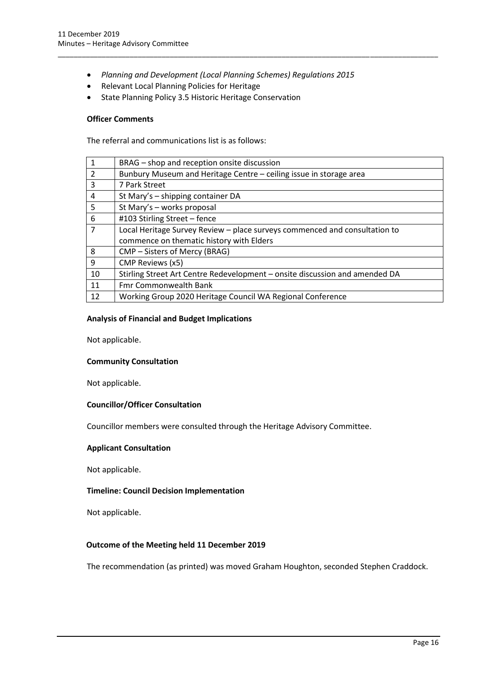*Planning and Development (Local Planning Schemes) Regulations 2015*

\_\_\_\_\_\_\_\_\_\_\_\_\_\_\_\_\_\_\_\_\_\_\_\_\_\_\_\_\_\_\_\_\_\_\_\_\_\_\_\_\_\_\_\_\_\_\_\_\_\_\_\_\_\_\_\_\_\_\_\_\_\_\_\_\_\_\_\_\_\_\_\_\_\_\_\_\_\_\_\_\_\_\_\_\_\_\_\_\_\_\_\_\_\_\_

- Relevant Local Planning Policies for Heritage
- State Planning Policy 3.5 Historic Heritage Conservation

#### **Officer Comments**

The referral and communications list is as follows:

| $\mathbf{1}$   | BRAG – shop and reception onsite discussion                                 |
|----------------|-----------------------------------------------------------------------------|
| $\overline{2}$ | Bunbury Museum and Heritage Centre - ceiling issue in storage area          |
| 3              | 7 Park Street                                                               |
| 4              | St Mary's - shipping container DA                                           |
| 5              | St Mary's - works proposal                                                  |
| 6              | #103 Stirling Street - fence                                                |
| $\overline{7}$ | Local Heritage Survey Review - place surveys commenced and consultation to  |
|                | commence on thematic history with Elders                                    |
| 8              | CMP – Sisters of Mercy (BRAG)                                               |
| 9              | CMP Reviews (x5)                                                            |
| 10             | Stirling Street Art Centre Redevelopment - onsite discussion and amended DA |
| 11             | <b>Fmr Commonwealth Bank</b>                                                |
| 12             | Working Group 2020 Heritage Council WA Regional Conference                  |

#### **Analysis of Financial and Budget Implications**

Not applicable.

#### **Community Consultation**

Not applicable.

#### **Councillor/Officer Consultation**

Councillor members were consulted through the Heritage Advisory Committee.

#### **Applicant Consultation**

Not applicable.

#### **Timeline: Council Decision Implementation**

Not applicable.

# **Outcome of the Meeting held 11 December 2019**

The recommendation (as printed) was moved Graham Houghton, seconded Stephen Craddock.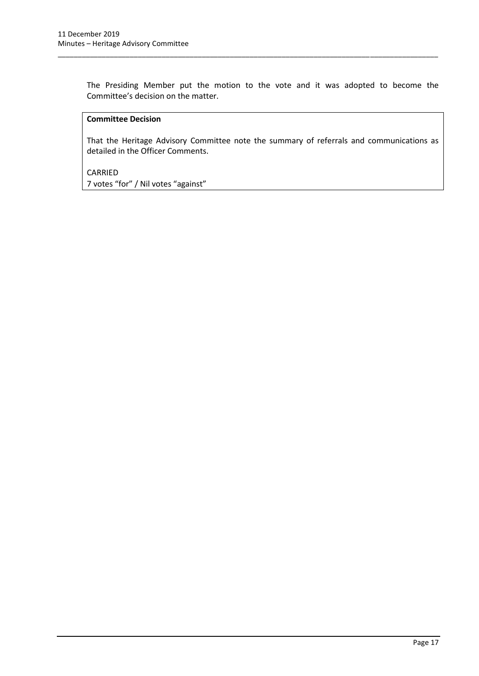The Presiding Member put the motion to the vote and it was adopted to become the Committee's decision on the matter.

\_\_\_\_\_\_\_\_\_\_\_\_\_\_\_\_\_\_\_\_\_\_\_\_\_\_\_\_\_\_\_\_\_\_\_\_\_\_\_\_\_\_\_\_\_\_\_\_\_\_\_\_\_\_\_\_\_\_\_\_\_\_\_\_\_\_\_\_\_\_\_\_\_\_\_\_\_\_\_\_\_\_\_\_\_\_\_\_\_\_\_\_\_\_\_

# **Committee Decision**

That the Heritage Advisory Committee note the summary of referrals and communications as detailed in the Officer Comments.

#### CARRIED

7 votes "for" / Nil votes "against"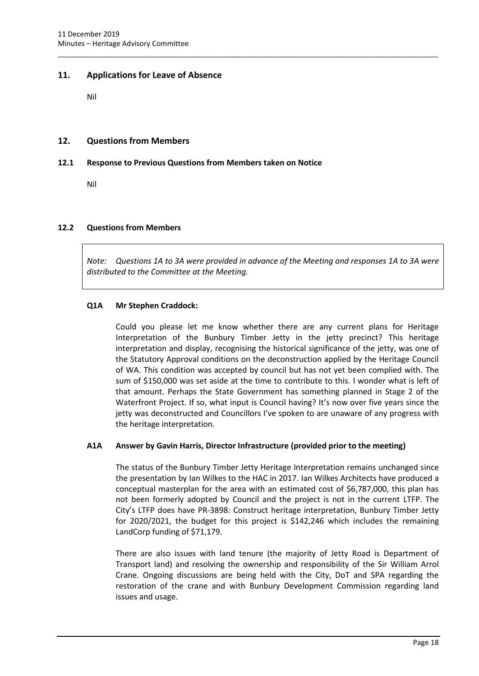# <span id="page-20-0"></span>**11. Applications for Leave of Absence**

Nil

# <span id="page-20-1"></span>**12. Questions from Members**

## <span id="page-20-2"></span>**12.1 Response to Previous Questions from Members taken on Notice**

Nil

#### <span id="page-20-3"></span>**12.2 Questions from Members**

*Note: Questions 1A to 3A were provided in advance of the Meeting and responses 1A to 3A were distributed to the Committee at the Meeting.*

\_\_\_\_\_\_\_\_\_\_\_\_\_\_\_\_\_\_\_\_\_\_\_\_\_\_\_\_\_\_\_\_\_\_\_\_\_\_\_\_\_\_\_\_\_\_\_\_\_\_\_\_\_\_\_\_\_\_\_\_\_\_\_\_\_\_\_\_\_\_\_\_\_\_\_\_\_\_\_\_\_\_\_\_\_\_\_\_\_\_\_\_\_\_\_

#### **Q1A Mr Stephen Craddock:**

Could you please let me know whether there are any current plans for Heritage Interpretation of the Bunbury Timber Jetty in the jetty precinct? This heritage interpretation and display, recognising the historical significance of the jetty, was one of the Statutory Approval conditions on the deconstruction applied by the Heritage Council of WA. This condition was accepted by council but has not yet been complied with. The sum of \$150,000 was set aside at the time to contribute to this. I wonder what is left of that amount. Perhaps the State Government has something planned in Stage 2 of the Waterfront Project. If so, what input is Council having? It's now over five years since the jetty was deconstructed and Councillors I've spoken to are unaware of any progress with the heritage interpretation.

#### **A1A Answer by Gavin Harris, Director Infrastructure (provided prior to the meeting)**

The status of the Bunbury Timber Jetty Heritage Interpretation remains unchanged since the presentation by Ian Wilkes to the HAC in 2017. Ian Wilkes Architects have produced a conceptual masterplan for the area with an estimated cost of \$6,787,000, this plan has not been formerly adopted by Council and the project is not in the current LTFP. The City's LTFP does have PR-3898: Construct heritage interpretation, Bunbury Timber Jetty for 2020/2021, the budget for this project is \$142,246 which includes the remaining LandCorp funding of \$71,179.

There are also issues with land tenure (the majority of Jetty Road is Department of Transport land) and resolving the ownership and responsibility of the Sir William Arrol Crane. Ongoing discussions are being held with the City, DoT and SPA regarding the restoration of the crane and with Bunbury Development Commission regarding land issues and usage.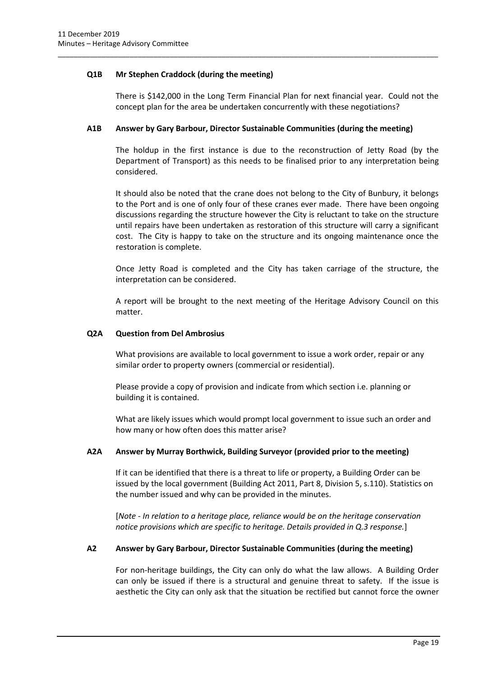## **Q1B Mr Stephen Craddock (during the meeting)**

There is \$142,000 in the Long Term Financial Plan for next financial year. Could not the concept plan for the area be undertaken concurrently with these negotiations?

## **A1B Answer by Gary Barbour, Director Sustainable Communities (during the meeting)**

\_\_\_\_\_\_\_\_\_\_\_\_\_\_\_\_\_\_\_\_\_\_\_\_\_\_\_\_\_\_\_\_\_\_\_\_\_\_\_\_\_\_\_\_\_\_\_\_\_\_\_\_\_\_\_\_\_\_\_\_\_\_\_\_\_\_\_\_\_\_\_\_\_\_\_\_\_\_\_\_\_\_\_\_\_\_\_\_\_\_\_\_\_\_\_

The holdup in the first instance is due to the reconstruction of Jetty Road (by the Department of Transport) as this needs to be finalised prior to any interpretation being considered.

It should also be noted that the crane does not belong to the City of Bunbury, it belongs to the Port and is one of only four of these cranes ever made. There have been ongoing discussions regarding the structure however the City is reluctant to take on the structure until repairs have been undertaken as restoration of this structure will carry a significant cost. The City is happy to take on the structure and its ongoing maintenance once the restoration is complete.

Once Jetty Road is completed and the City has taken carriage of the structure, the interpretation can be considered.

A report will be brought to the next meeting of the Heritage Advisory Council on this matter.

## **Q2A Question from Del Ambrosius**

What provisions are available to local government to issue a work order, repair or any similar order to property owners (commercial or residential).

Please provide a copy of provision and indicate from which section i.e. planning or building it is contained.

What are likely issues which would prompt local government to issue such an order and how many or how often does this matter arise?

#### **A2A Answer by Murray Borthwick, Building Surveyor (provided prior to the meeting)**

If it can be identified that there is a threat to life or property, a Building Order can be issued by the local government (Building Act 2011, Part 8, Division 5, s.110). Statistics on the number issued and why can be provided in the minutes.

[*Note - In relation to a heritage place, reliance would be on the heritage conservation notice provisions which are specific to heritage. Details provided in Q.3 response.*]

#### **A2 Answer by Gary Barbour, Director Sustainable Communities (during the meeting)**

For non-heritage buildings, the City can only do what the law allows. A Building Order can only be issued if there is a structural and genuine threat to safety. If the issue is aesthetic the City can only ask that the situation be rectified but cannot force the owner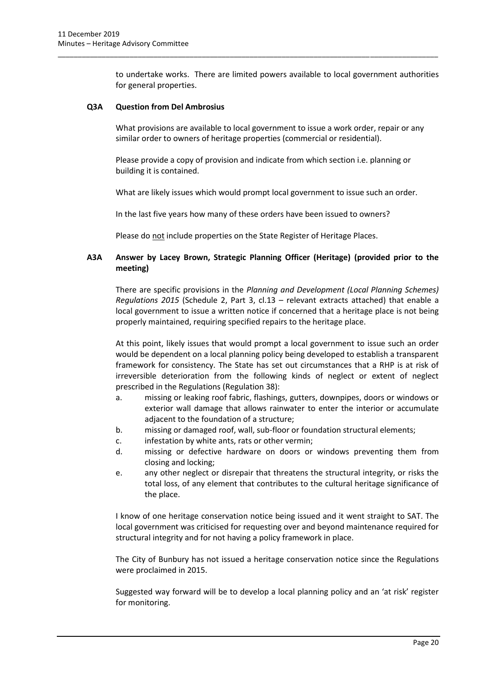to undertake works. There are limited powers available to local government authorities for general properties.

\_\_\_\_\_\_\_\_\_\_\_\_\_\_\_\_\_\_\_\_\_\_\_\_\_\_\_\_\_\_\_\_\_\_\_\_\_\_\_\_\_\_\_\_\_\_\_\_\_\_\_\_\_\_\_\_\_\_\_\_\_\_\_\_\_\_\_\_\_\_\_\_\_\_\_\_\_\_\_\_\_\_\_\_\_\_\_\_\_\_\_\_\_\_\_

#### **Q3A Question from Del Ambrosius**

What provisions are available to local government to issue a work order, repair or any similar order to owners of heritage properties (commercial or residential).

Please provide a copy of provision and indicate from which section i.e. planning or building it is contained.

What are likely issues which would prompt local government to issue such an order.

In the last five years how many of these orders have been issued to owners?

Please do not include properties on the State Register of Heritage Places.

# **A3A Answer by Lacey Brown, Strategic Planning Officer (Heritage) (provided prior to the meeting)**

There are specific provisions in the *Planning and Development (Local Planning Schemes) Regulations 2015* (Schedule 2, Part 3, cl.13 – relevant extracts attached) that enable a local government to issue a written notice if concerned that a heritage place is not being properly maintained, requiring specified repairs to the heritage place.

At this point, likely issues that would prompt a local government to issue such an order would be dependent on a local planning policy being developed to establish a transparent framework for consistency. The State has set out circumstances that a RHP is at risk of irreversible deterioration from the following kinds of neglect or extent of neglect prescribed in the Regulations (Regulation 38):

- a. missing or leaking roof fabric, flashings, gutters, downpipes, doors or windows or exterior wall damage that allows rainwater to enter the interior or accumulate adjacent to the foundation of a structure;
- b. missing or damaged roof, wall, sub-floor or foundation structural elements;
- c. infestation by white ants, rats or other vermin;
- d. missing or defective hardware on doors or windows preventing them from closing and locking;
- e. any other neglect or disrepair that threatens the structural integrity, or risks the total loss, of any element that contributes to the cultural heritage significance of the place.

I know of one heritage conservation notice being issued and it went straight to SAT. The local government was criticised for requesting over and beyond maintenance required for structural integrity and for not having a policy framework in place.

The City of Bunbury has not issued a heritage conservation notice since the Regulations were proclaimed in 2015.

Suggested way forward will be to develop a local planning policy and an 'at risk' register for monitoring.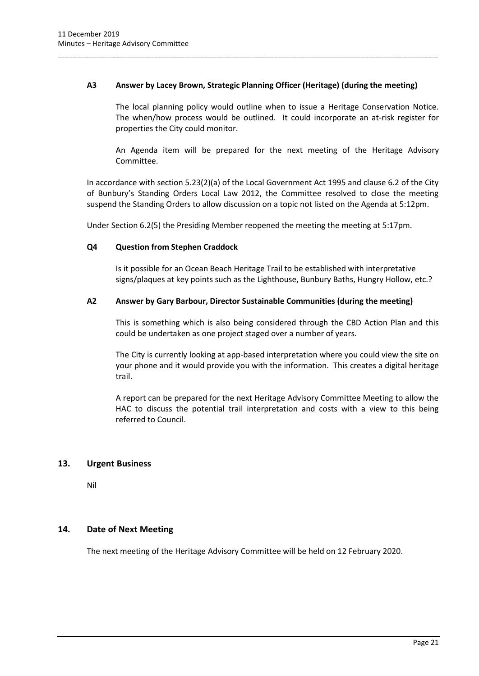## **A3 Answer by Lacey Brown, Strategic Planning Officer (Heritage) (during the meeting)**

\_\_\_\_\_\_\_\_\_\_\_\_\_\_\_\_\_\_\_\_\_\_\_\_\_\_\_\_\_\_\_\_\_\_\_\_\_\_\_\_\_\_\_\_\_\_\_\_\_\_\_\_\_\_\_\_\_\_\_\_\_\_\_\_\_\_\_\_\_\_\_\_\_\_\_\_\_\_\_\_\_\_\_\_\_\_\_\_\_\_\_\_\_\_\_

The local planning policy would outline when to issue a Heritage Conservation Notice. The when/how process would be outlined. It could incorporate an at-risk register for properties the City could monitor.

An Agenda item will be prepared for the next meeting of the Heritage Advisory Committee.

In accordance with section 5.23(2)(a) of the Local Government Act 1995 and clause 6.2 of the City of Bunbury's Standing Orders Local Law 2012, the Committee resolved to close the meeting suspend the Standing Orders to allow discussion on a topic not listed on the Agenda at 5:12pm.

Under Section 6.2(5) the Presiding Member reopened the meeting the meeting at 5:17pm.

# **Q4 Question from Stephen Craddock**

Is it possible for an Ocean Beach Heritage Trail to be established with interpretative signs/plaques at key points such as the Lighthouse, Bunbury Baths, Hungry Hollow, etc.?

# **A2 Answer by Gary Barbour, Director Sustainable Communities (during the meeting)**

This is something which is also being considered through the CBD Action Plan and this could be undertaken as one project staged over a number of years.

The City is currently looking at app-based interpretation where you could view the site on your phone and it would provide you with the information. This creates a digital heritage trail.

A report can be prepared for the next Heritage Advisory Committee Meeting to allow the HAC to discuss the potential trail interpretation and costs with a view to this being referred to Council.

# <span id="page-23-0"></span>**13. Urgent Business**

Nil

# <span id="page-23-1"></span>**14. Date of Next Meeting**

The next meeting of the Heritage Advisory Committee will be held on 12 February 2020.